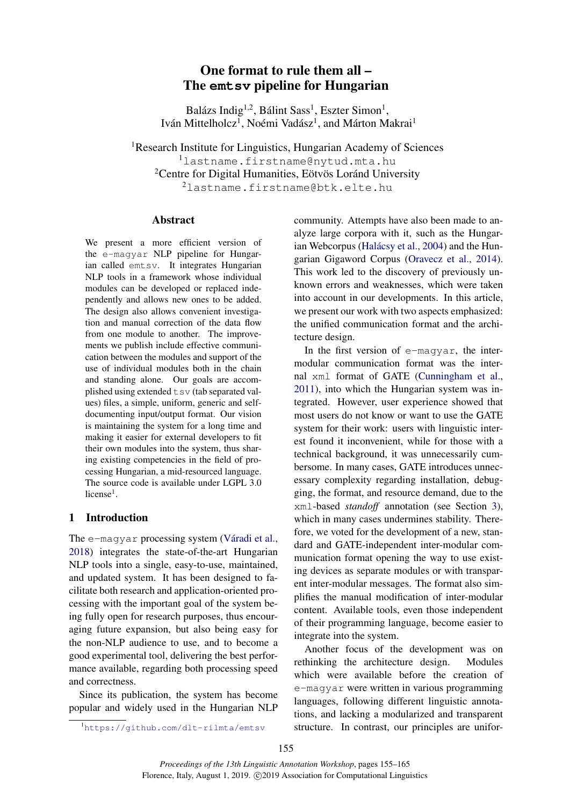# One format to rule them all – The **emtsv** pipeline for Hungarian

Balázs Indig<sup>1,2</sup>, Bálint Sass<sup>1</sup>, Eszter Simon<sup>1</sup>, Iván Mittelholcz<sup>1</sup>, Noémi Vadász<sup>1</sup>, and Márton Makrai<sup>1</sup>

Research Institute for Linguistics, Hungarian Academy of Sciences lastname.firstname@nytud.mta.hu Centre for Digital Humanities, Eötvös Loránd University lastname.firstname@btk.elte.hu

### Abstract

We present a more efficient version of the e-magyar NLP pipeline for Hungarian called emtsv. It integrates Hungarian NLP tools in a framework whose individual modules can be developed or replaced independently and allows new ones to be added. The design also allows convenient investigation and manual correction of the data flow from one module to another. The improvements we publish include effective communication between the modules and support of the use of individual modules both in the chain and standing alone. Our goals are accomplished using extended  $t$  sv (tab separated values) files, a simple, uniform, generic and selfdocumenting input/output format. Our vision is maintaining the system for a long time and making it easier for external developers to fit their own modules into the system, thus sharing existing competencies in the field of processing Hungarian, a mid-resourced language. The source code is available under LGPL 3.0 license<sup>[1](#page-0-0)</sup>.

# 1 Introduction

The e-magyar processing system [\(Váradi et al.,](#page-10-0) [2018\)](#page-10-0) integrates the state-of-the-art Hungarian NLP tools into a single, easy-to-use, maintained, and updated system. It has been designed to facilitate both research and application-oriented processing with the important goal of the system being fully open for research purposes, thus encouraging future expansion, but also being easy for the non-NLP audience to use, and to become a good experimental tool, delivering the best performance available, regarding both processing speed and correctness.

Since its publication, the system has become popular and widely used in the Hungarian NLP community. Attempts have also been made to analyze large corpora with it, such as the Hungarian Webcorpus [\(Halácsy et al.,](#page-9-0) [2004\)](#page-9-0) and the Hungarian Gigaword Corpus [\(Oravecz et al.,](#page-9-1) [2014\)](#page-9-1). This work led to the discovery of previously unknown errors and weaknesses, which were taken into account in our developments. In this article, we present our work with two aspects emphasized: the unified communication format and the architecture design.

In the first version of e-magyar, the intermodular communication format was the internal xml format of GATE [\(Cunningham et al.,](#page-8-0) [2011\)](#page-8-0), into which the Hungarian system was integrated. However, user experience showed that most users do not know or want to use the GATE system for their work: users with linguistic interest found it inconvenient, while for those with a technical background, it was unnecessarily cumbersome. In many cases, GATE introduces unnecessary complexity regarding installation, debugging, the format, and resource demand, due to the xml-based *standoff* annotation (see Section [3\)](#page-2-0), which in many cases undermines stability. Therefore, we voted for the development of a new, standard and GATE-independent inter-modular communication format opening the way to use existing devices as separate modules or with transparent inter-modular messages. The format also simplifies the manual modification of inter-modular content. Available tools, even those independent of their programming language, become easier to integrate into the system.

Another focus of the development was on rethinking the architecture design. Modules which were available before the creation of e-magyar were written in various programming languages, following different linguistic annotations, and lacking a modularized and transparent structure. In contrast, our principles are unifor-

<span id="page-0-0"></span><sup>1</sup><https://github.com/dlt-rilmta/emtsv>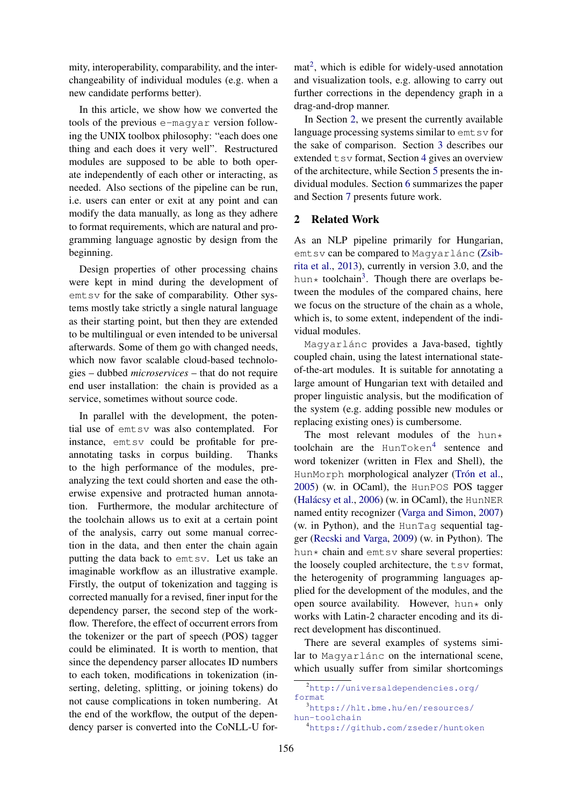mity, interoperability, comparability, and the interchangeability of individual modules (e.g. when a new candidate performs better).

In this article, we show how we converted the tools of the previous e-magyar version following the UNIX toolbox philosophy: "each does one thing and each does it very well". Restructured modules are supposed to be able to both operate independently of each other or interacting, as needed. Also sections of the pipeline can be run, i.e. users can enter or exit at any point and can modify the data manually, as long as they adhere to format requirements, which are natural and programming language agnostic by design from the beginning.

Design properties of other processing chains were kept in mind during the development of emtsv for the sake of comparability. Other systems mostly take strictly a single natural language as their starting point, but then they are extended to be multilingual or even intended to be universal afterwards. Some of them go with changed needs, which now favor scalable cloud-based technologies – dubbed *microservices* – that do not require end user installation: the chain is provided as a service, sometimes without source code.

In parallel with the development, the potential use of emtsv was also contemplated. For instance, emtsv could be profitable for preannotating tasks in corpus building. Thanks to the high performance of the modules, preanalyzing the text could shorten and ease the otherwise expensive and protracted human annotation. Furthermore, the modular architecture of the toolchain allows us to exit at a certain point of the analysis, carry out some manual correction in the data, and then enter the chain again putting the data back to emtsv. Let us take an imaginable workflow as an illustrative example. Firstly, the output of tokenization and tagging is corrected manually for a revised, finer input for the dependency parser, the second step of the workflow. Therefore, the effect of occurrent errors from the tokenizer or the part of speech (POS) tagger could be eliminated. It is worth to mention, that since the dependency parser allocates ID numbers to each token, modifications in tokenization (inserting, deleting, splitting, or joining tokens) do not cause complications in token numbering. At the end of the workflow, the output of the dependency parser is converted into the CoNLL-U for-

mat<sup>[2](#page-1-0)</sup>, which is edible for widely-used annotation and visualization tools, e.g. allowing to carry out further corrections in the dependency graph in a drag-and-drop manner.

In Section [2,](#page-1-1) we present the currently available language processing systems similar to emt sv for the sake of comparison. Section [3](#page-2-0) describes our extended  $tsv$  format, Section [4](#page-3-0) gives an overview of the architecture, while Section [5](#page-4-0) presents the individual modules. Section [6](#page-7-0) summarizes the paper and Section [7](#page-7-1) presents future work.

# <span id="page-1-1"></span>2 Related Work

As an NLP pipeline primarily for Hungarian, emtsv can be compared to Magyarlánc [\(Zsib](#page-10-1)[rita et al.,](#page-10-1) [2013\)](#page-10-1), currently in version 3.0, and the hun  $\star$  toolchain<sup>[3](#page-1-2)</sup>. Though there are overlaps between the modules of the compared chains, here we focus on the structure of the chain as a whole, which is, to some extent, independent of the individual modules.

Magyarlánc provides a Java-based, tightly coupled chain, using the latest international stateof-the-art modules. It is suitable for annotating a large amount of Hungarian text with detailed and proper linguistic analysis, but the modification of the system (e.g. adding possible new modules or replacing existing ones) is cumbersome.

The most relevant modules of the hun $*$ toolchain are the  $H$ unToken<sup>[4](#page-1-3)</sup> sentence and word tokenizer (written in Flex and Shell), the HunMorph morphological analyzer [\(Trón et al.,](#page-9-2) [2005\)](#page-9-2) (w. in OCaml), the HunPOS POS tagger [\(Halácsy et al.,](#page-9-3) [2006\)](#page-9-3) (w. in OCaml), the HunNER named entity recognizer [\(Varga and Simon,](#page-9-4) [2007\)](#page-9-4) (w. in Python), and the HunTag sequential tagger [\(Recski and Varga,](#page-9-5) [2009\)](#page-9-5) (w. in Python). The hun\* chain and emtsv share several properties: the loosely coupled architecture, the tsv format, the heterogenity of programming languages applied for the development of the modules, and the open source availability. However, hun $*$  only works with Latin-2 character encoding and its direct development has discontinued.

There are several examples of systems similar to Magyarlánc on the international scene, which usually suffer from similar shortcomings

<span id="page-1-0"></span><sup>2</sup>[http://universaldependencies.org/](http://universaldependencies.org/format) [format](http://universaldependencies.org/format)

<span id="page-1-2"></span><sup>3</sup>[https://hlt.bme.hu/en/resources/](https://hlt.bme.hu/en/resources/hun-toolchain) [hun-toolchain](https://hlt.bme.hu/en/resources/hun-toolchain)

<span id="page-1-3"></span><sup>4</sup><https://github.com/zseder/huntoken>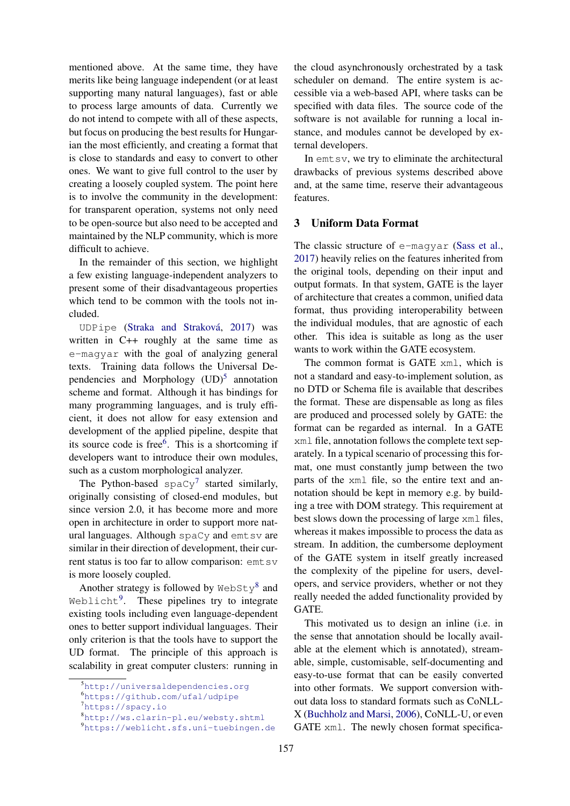mentioned above. At the same time, they have merits like being language independent (or at least supporting many natural languages), fast or able to process large amounts of data. Currently we do not intend to compete with all of these aspects, but focus on producing the best results for Hungarian the most efficiently, and creating a format that is close to standards and easy to convert to other ones. We want to give full control to the user by creating a loosely coupled system. The point here is to involve the community in the development: for transparent operation, systems not only need to be open-source but also need to be accepted and maintained by the NLP community, which is more difficult to achieve.

In the remainder of this section, we highlight a few existing language-independent analyzers to present some of their disadvantageous properties which tend to be common with the tools not included.

UDPipe [\(Straka and Straková,](#page-9-6) [2017\)](#page-9-6) was written in C++ roughly at the same time as e-magyar with the goal of analyzing general texts. Training data follows the Universal Dependencies and Morphology  $(UD)^5$  $(UD)^5$  annotation scheme and format. Although it has bindings for many programming languages, and is truly efficient, it does not allow for easy extension and development of the applied pipeline, despite that its source code is free<sup>[6](#page-2-2)</sup>. This is a shortcoming if developers want to introduce their own modules, such as a custom morphological analyzer.

The Python-based spaCy<sup>[7](#page-2-3)</sup> started similarly, originally consisting of closed-end modules, but since version 2.0, it has become more and more open in architecture in order to support more natural languages. Although spaCy and emtsv are similar in their direction of development, their current status is too far to allow comparison: emt sv is more loosely coupled.

Another strategy is followed by  $WebSty<sup>8</sup>$  $WebSty<sup>8</sup>$  $WebSty<sup>8</sup>$  and Weblicht<sup>[9](#page-2-5)</sup>. These pipelines try to integrate existing tools including even language-dependent ones to better support individual languages. Their only criterion is that the tools have to support the UD format. The principle of this approach is scalability in great computer clusters: running in the cloud asynchronously orchestrated by a task scheduler on demand. The entire system is accessible via a web-based API, where tasks can be specified with data files. The source code of the software is not available for running a local instance, and modules cannot be developed by external developers.

In emtsv, we try to eliminate the architectural drawbacks of previous systems described above and, at the same time, reserve their advantageous features.

# <span id="page-2-0"></span>3 Uniform Data Format

The classic structure of e-magyar [\(Sass et al.,](#page-9-7) [2017\)](#page-9-7) heavily relies on the features inherited from the original tools, depending on their input and output formats. In that system, GATE is the layer of architecture that creates a common, unified data format, thus providing interoperability between the individual modules, that are agnostic of each other. This idea is suitable as long as the user wants to work within the GATE ecosystem.

The common format is GATE xml, which is not a standard and easy-to-implement solution, as no DTD or Schema file is available that describes the format. These are dispensable as long as files are produced and processed solely by GATE: the format can be regarded as internal. In a GATE xml file, annotation follows the complete text separately. In a typical scenario of processing this format, one must constantly jump between the two parts of the xml file, so the entire text and annotation should be kept in memory e.g. by building a tree with DOM strategy. This requirement at best slows down the processing of large xml files, whereas it makes impossible to process the data as stream. In addition, the cumbersome deployment of the GATE system in itself greatly increased the complexity of the pipeline for users, developers, and service providers, whether or not they really needed the added functionality provided by GATE.

This motivated us to design an inline (i.e. in the sense that annotation should be locally available at the element which is annotated), streamable, simple, customisable, self-documenting and easy-to-use format that can be easily converted into other formats. We support conversion without data loss to standard formats such as CoNLL-X [\(Buchholz and Marsi,](#page-8-1) [2006\)](#page-8-1), CoNLL-U, or even GATE xml. The newly chosen format specifica-

<span id="page-2-1"></span><sup>5</sup><http://universaldependencies.org>

<span id="page-2-2"></span><sup>6</sup><https://github.com/ufal/udpipe>

<span id="page-2-3"></span><sup>7</sup><https://spacy.io>

<span id="page-2-4"></span><sup>8</sup><http://ws.clarin-pl.eu/websty.shtml>

<span id="page-2-5"></span><sup>9</sup><https://weblicht.sfs.uni-tuebingen.de>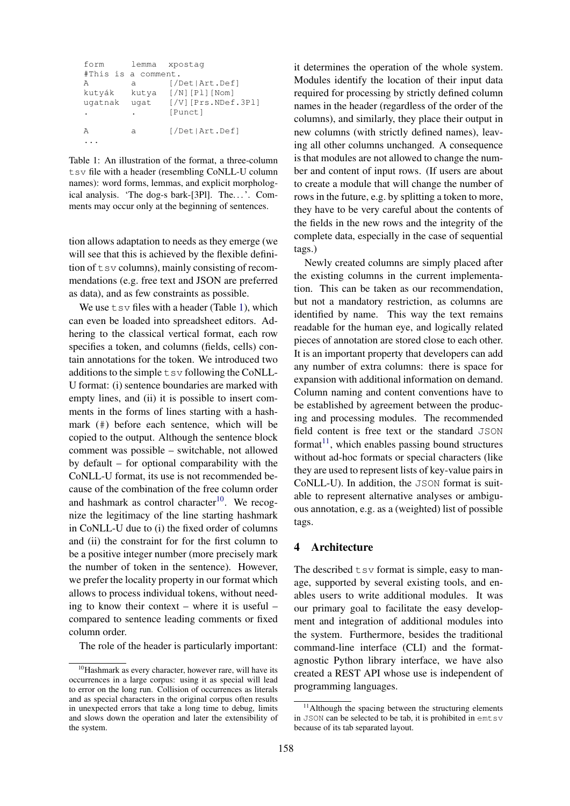<span id="page-3-1"></span>

| form                |      | lemma xpostag              |
|---------------------|------|----------------------------|
| #This is a comment. |      |                            |
| А                   | a    | [/Det Art.Def]             |
|                     |      | kutyák kutya [/N][Pl][Nom] |
| uqatnak             | ugat | [/V][Prs.NDef.3Pl]         |
|                     |      | [Punct]                    |
| А                   | a    | [/Det Art.Def]             |
|                     |      |                            |

Table 1: An illustration of the format, a three-column tsv file with a header (resembling CoNLL-U column names): word forms, lemmas, and explicit morphological analysis. 'The dog-s bark-[3Pl]. The. . . '. Comments may occur only at the beginning of sentences.

tion allows adaptation to needs as they emerge (we will see that this is achieved by the flexible definition of  $tsv$  columns), mainly consisting of recommendations (e.g. free text and JSON are preferred as data), and as few constraints as possible.

We use  $tsv$  files with a header (Table [1\)](#page-3-1), which can even be loaded into spreadsheet editors. Adhering to the classical vertical format, each row specifies a token, and columns (fields, cells) contain annotations for the token. We introduced two additions to the simple  $\pm$  sv following the CoNLL-U format: (i) sentence boundaries are marked with empty lines, and (ii) it is possible to insert comments in the forms of lines starting with a hashmark (#) before each sentence, which will be copied to the output. Although the sentence block comment was possible – switchable, not allowed by default – for optional comparability with the CoNLL-U format, its use is not recommended because of the combination of the free column order and hashmark as control character $10$ . We recognize the legitimacy of the line starting hashmark in CoNLL-U due to (i) the fixed order of columns and (ii) the constraint for for the first column to be a positive integer number (more precisely mark the number of token in the sentence). However, we prefer the locality property in our format which allows to process individual tokens, without needing to know their context – where it is useful – compared to sentence leading comments or fixed column order.

The role of the header is particularly important:

it determines the operation of the whole system. Modules identify the location of their input data required for processing by strictly defined column names in the header (regardless of the order of the columns), and similarly, they place their output in new columns (with strictly defined names), leaving all other columns unchanged. A consequence is that modules are not allowed to change the number and content of input rows. (If users are about to create a module that will change the number of rows in the future, e.g. by splitting a token to more, they have to be very careful about the contents of the fields in the new rows and the integrity of the complete data, especially in the case of sequential tags.)

Newly created columns are simply placed after the existing columns in the current implementation. This can be taken as our recommendation, but not a mandatory restriction, as columns are identified by name. This way the text remains readable for the human eye, and logically related pieces of annotation are stored close to each other. It is an important property that developers can add any number of extra columns: there is space for expansion with additional information on demand. Column naming and content conventions have to be established by agreement between the producing and processing modules. The recommended field content is free text or the standard JSON format $^{11}$  $^{11}$  $^{11}$ , which enables passing bound structures without ad-hoc formats or special characters (like they are used to represent lists of key-value pairs in CoNLL-U). In addition, the JSON format is suitable to represent alternative analyses or ambiguous annotation, e.g. as a (weighted) list of possible tags.

### <span id="page-3-0"></span>4 Architecture

The described  $tsv$  format is simple, easy to manage, supported by several existing tools, and enables users to write additional modules. It was our primary goal to facilitate the easy development and integration of additional modules into the system. Furthermore, besides the traditional command-line interface (CLI) and the formatagnostic Python library interface, we have also created a REST API whose use is independent of programming languages.

<span id="page-3-2"></span><sup>&</sup>lt;sup>10</sup>Hashmark as every character, however rare, will have its occurrences in a large corpus: using it as special will lead to error on the long run. Collision of occurrences as literals and as special characters in the original corpus often results in unexpected errors that take a long time to debug, limits and slows down the operation and later the extensibility of the system.

<span id="page-3-3"></span> $11$ Although the spacing between the structuring elements in JSON can be selected to be tab, it is prohibited in emtsv because of its tab separated layout.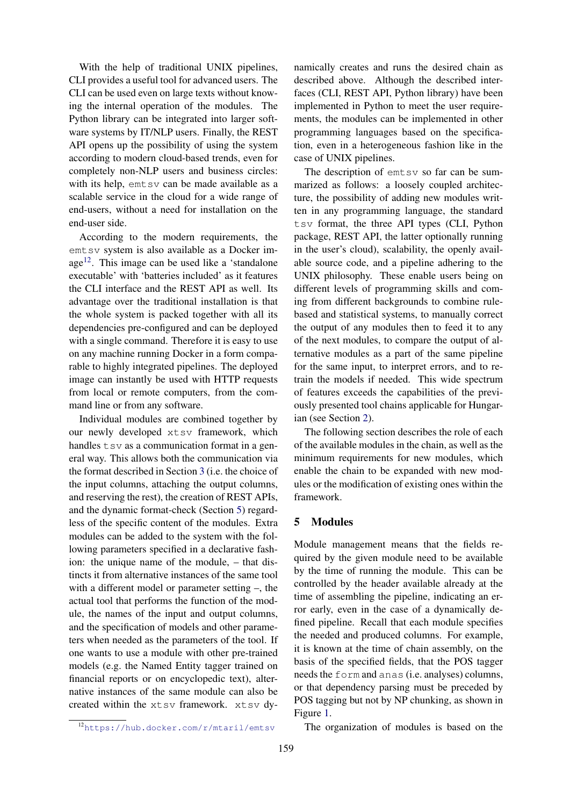With the help of traditional UNIX pipelines, CLI provides a useful tool for advanced users. The CLI can be used even on large texts without knowing the internal operation of the modules. The Python library can be integrated into larger software systems by IT/NLP users. Finally, the REST API opens up the possibility of using the system according to modern cloud-based trends, even for completely non-NLP users and business circles: with its help,  $emtsv$  can be made available as a scalable service in the cloud for a wide range of end-users, without a need for installation on the end-user side.

According to the modern requirements, the emtsv system is also available as a Docker im-age<sup>[12](#page-4-1)</sup>. This image can be used like a 'standalone' executable' with 'batteries included' as it features the CLI interface and the REST API as well. Its advantage over the traditional installation is that the whole system is packed together with all its dependencies pre-configured and can be deployed with a single command. Therefore it is easy to use on any machine running Docker in a form comparable to highly integrated pipelines. The deployed image can instantly be used with HTTP requests from local or remote computers, from the command line or from any software.

Individual modules are combined together by our newly developed xtsv framework, which handles  $tsv$  as a communication format in a general way. This allows both the communication via the format described in Section [3](#page-2-0) (i.e. the choice of the input columns, attaching the output columns, and reserving the rest), the creation of REST APIs, and the dynamic format-check (Section [5\)](#page-4-0) regardless of the specific content of the modules. Extra modules can be added to the system with the following parameters specified in a declarative fashion: the unique name of the module, – that distincts it from alternative instances of the same tool with a different model or parameter setting –, the actual tool that performs the function of the module, the names of the input and output columns, and the specification of models and other parameters when needed as the parameters of the tool. If one wants to use a module with other pre-trained models (e.g. the Named Entity tagger trained on financial reports or on encyclopedic text), alternative instances of the same module can also be created within the xtsv framework. xtsv dy-

namically creates and runs the desired chain as described above. Although the described interfaces (CLI, REST API, Python library) have been implemented in Python to meet the user requirements, the modules can be implemented in other programming languages based on the specification, even in a heterogeneous fashion like in the case of UNIX pipelines.

The description of emtsv so far can be summarized as follows: a loosely coupled architecture, the possibility of adding new modules written in any programming language, the standard tsv format, the three API types (CLI, Python package, REST API, the latter optionally running in the user's cloud), scalability, the openly available source code, and a pipeline adhering to the UNIX philosophy. These enable users being on different levels of programming skills and coming from different backgrounds to combine rulebased and statistical systems, to manually correct the output of any modules then to feed it to any of the next modules, to compare the output of alternative modules as a part of the same pipeline for the same input, to interpret errors, and to retrain the models if needed. This wide spectrum of features exceeds the capabilities of the previously presented tool chains applicable for Hungarian (see Section [2\)](#page-1-1).

The following section describes the role of each of the available modules in the chain, as well as the minimum requirements for new modules, which enable the chain to be expanded with new modules or the modification of existing ones within the framework.

# <span id="page-4-0"></span>5 Modules

Module management means that the fields required by the given module need to be available by the time of running the module. This can be controlled by the header available already at the time of assembling the pipeline, indicating an error early, even in the case of a dynamically defined pipeline. Recall that each module specifies the needed and produced columns. For example, it is known at the time of chain assembly, on the basis of the specified fields, that the POS tagger needs the form and anas (i.e. analyses) columns, or that dependency parsing must be preceded by POS tagging but not by NP chunking, as shown in Figure [1.](#page-5-0)

The organization of modules is based on the

<span id="page-4-1"></span><sup>12</sup><https://hub.docker.com/r/mtaril/emtsv>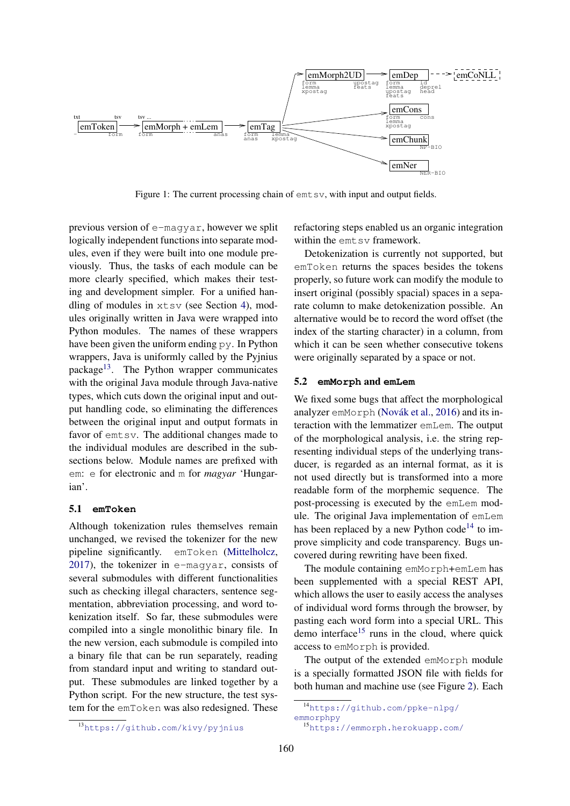<span id="page-5-0"></span>

Figure 1: The current processing chain of emt sv, with input and output fields.

previous version of e-magyar, however we split logically independent functions into separate modules, even if they were built into one module previously. Thus, the tasks of each module can be more clearly specified, which makes their testing and development simpler. For a unified handling of modules in xtsv (see Section [4\)](#page-3-0), modules originally written in Java were wrapped into Python modules. The names of these wrappers have been given the uniform ending  $py$ . In Python wrappers, Java is uniformly called by the Pyjnius package<sup>[13](#page-5-1)</sup>. The Python wrapper communicates with the original Java module through Java-native types, which cuts down the original input and output handling code, so eliminating the differences between the original input and output formats in favor of emt sv. The additional changes made to the individual modules are described in the subsections below. Module names are prefixed with em: e for electronic and m for *magyar* 'Hungarian'.

# 5.1 **emToken**

Although tokenization rules themselves remain unchanged, we revised the tokenizer for the new pipeline significantly. emToken [\(Mittelholcz,](#page-9-8) [2017\)](#page-9-8), the tokenizer in e-magyar, consists of several submodules with different functionalities such as checking illegal characters, sentence segmentation, abbreviation processing, and word tokenization itself. So far, these submodules were compiled into a single monolithic binary file. In the new version, each submodule is compiled into a binary file that can be run separately, reading from standard input and writing to standard output. These submodules are linked together by a Python script. For the new structure, the test system for the emToken was also redesigned. These refactoring steps enabled us an organic integration within the emt sy framework.

Detokenization is currently not supported, but emToken returns the spaces besides the tokens properly, so future work can modify the module to insert original (possibly spacial) spaces in a separate column to make detokenization possible. An alternative would be to record the word offset (the index of the starting character) in a column, from which it can be seen whether consecutive tokens were originally separated by a space or not.

### 5.2 **emMorph** and **emLem**

We fixed some bugs that affect the morphological analyzer emMorph [\(Novák et al.,](#page-9-9) [2016\)](#page-9-9) and its interaction with the lemmatizer emLem. The output of the morphological analysis, i.e. the string representing individual steps of the underlying transducer, is regarded as an internal format, as it is not used directly but is transformed into a more readable form of the morphemic sequence. The post-processing is executed by the emLem module. The original Java implementation of emLem has been replaced by a new Python code<sup>[14](#page-5-2)</sup> to improve simplicity and code transparency. Bugs uncovered during rewriting have been fixed.

The module containing emMorph+emLem has been supplemented with a special REST API, which allows the user to easily access the analyses of individual word forms through the browser, by pasting each word form into a special URL. This demo interface $15$  runs in the cloud, where quick access to emMorph is provided.

The output of the extended emMorph module is a specially formatted JSON file with fields for both human and machine use (see Figure [2\)](#page-6-0). Each

<span id="page-5-3"></span><span id="page-5-2"></span><sup>14</sup>[https://github.com/ppke-nlpg/](https://github.com/ppke-nlpg/emmorphpy) [emmorphpy](https://github.com/ppke-nlpg/emmorphpy)

<span id="page-5-1"></span><sup>13</sup><https://github.com/kivy/pyjnius> <sup>15</sup><https://emmorph.herokuapp.com/>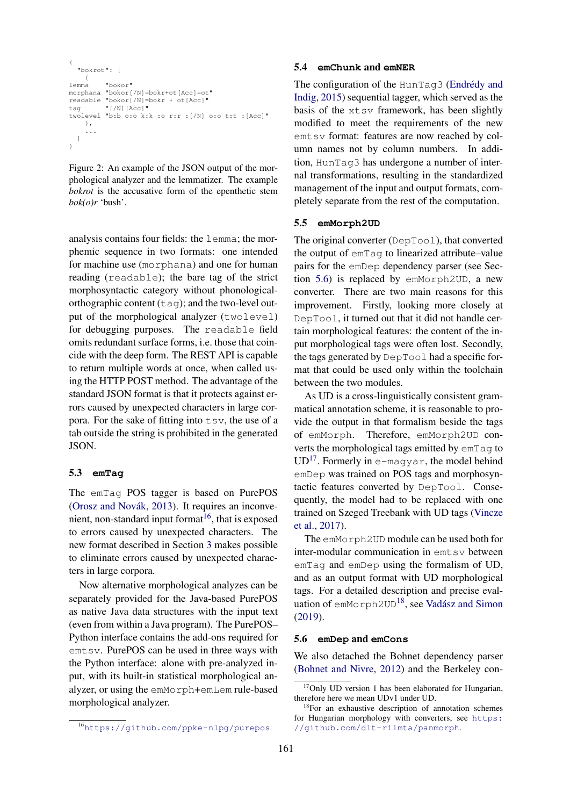```
{
  "bokrot": [
   \left\{ \right.lemma "bokor"
morphana "bokor[/N]=bokr+ot[Acc]=ot"
readable "bokor[/N]=bokr + ot[Acc]"
tag "[/N][Acc]"
twolevel "b:b o:o k:k :o r:r :[/N] o:o t:t :[Acc]"
   },
    ...
  \, \, \,}
```
Figure 2: An example of the JSON output of the morphological analyzer and the lemmatizer. The example *bokrot* is the accusative form of the epenthetic stem *bok(o)r* 'bush'.

analysis contains four fields: the lemma; the morphemic sequence in two formats: one intended for machine use (morphana) and one for human reading (readable); the bare tag of the strict morphosyntactic category without phonologicalorthographic content  $(taq)$ ; and the two-level output of the morphological analyzer (twolevel) for debugging purposes. The readable field omits redundant surface forms, i.e. those that coincide with the deep form. The REST API is capable to return multiple words at once, when called using the HTTP POST method. The advantage of the standard JSON format is that it protects against errors caused by unexpected characters in large corpora. For the sake of fitting into  $\pm s\vee$ , the use of a tab outside the string is prohibited in the generated JSON.

#### 5.3 **emTag**

The emTag POS tagger is based on PurePOS [\(Orosz and Novák,](#page-9-10) [2013\)](#page-9-10). It requires an inconve-nient, non-standard input format<sup>[16](#page-6-1)</sup>, that is exposed to errors caused by unexpected characters. The new format described in Section [3](#page-2-0) makes possible to eliminate errors caused by unexpected characters in large corpora.

Now alternative morphological analyzes can be separately provided for the Java-based PurePOS as native Java data structures with the input text (even from within a Java program). The PurePOS– Python interface contains the add-ons required for emtsv. PurePOS can be used in three ways with the Python interface: alone with pre-analyzed input, with its built-in statistical morphological analyzer, or using the emMorph+emLem rule-based morphological analyzer.

#### 5.4 **emChunk** and **emNER**

The configuration of the HunTag3 [\(Endrédy and](#page-9-11) [Indig,](#page-9-11) [2015\)](#page-9-11) sequential tagger, which served as the basis of the xtsv framework, has been slightly modified to meet the requirements of the new emtsv format: features are now reached by column names not by column numbers. In addition, HunTag3 has undergone a number of internal transformations, resulting in the standardized management of the input and output formats, completely separate from the rest of the computation.

#### <span id="page-6-5"></span>5.5 **emMorph2UD**

The original converter (DepTool), that converted the output of emTag to linearized attribute–value pairs for the emDep dependency parser (see Section [5.6\)](#page-6-2) is replaced by emMorph2UD, a new converter. There are two main reasons for this improvement. Firstly, looking more closely at DepTool, it turned out that it did not handle certain morphological features: the content of the input morphological tags were often lost. Secondly, the tags generated by DepTool had a specific format that could be used only within the toolchain between the two modules.

As UD is a cross-linguistically consistent grammatical annotation scheme, it is reasonable to provide the output in that formalism beside the tags of emMorph. Therefore, emMorph2UD converts the morphological tags emitted by emTag to  $UD<sup>17</sup>$  $UD<sup>17</sup>$  $UD<sup>17</sup>$ . Formerly in e-magyar, the model behind emDep was trained on POS tags and morphosyntactic features converted by DepTool. Consequently, the model had to be replaced with one trained on Szeged Treebank with UD tags [\(Vincze](#page-10-2) [et al.,](#page-10-2) [2017\)](#page-10-2).

The emMorph2UD module can be used both for inter-modular communication in emtsv between emTag and emDep using the formalism of UD, and as an output format with UD morphological tags. For a detailed description and precise evaluation of  $emMorph2UD$ <sup>[18](#page-6-4)</sup>, see [Vadász and Simon](#page-9-12) [\(2019\)](#page-9-12).

#### <span id="page-6-2"></span>5.6 **emDep** and **emCons**

We also detached the Bohnet dependency parser [\(Bohnet and Nivre,](#page-8-2) [2012\)](#page-8-2) and the Berkeley con-

<span id="page-6-1"></span><sup>16</sup><https://github.com/ppke-nlpg/purepos>

<span id="page-6-3"></span> $17$ Only UD version 1 has been elaborated for Hungarian, therefore here we mean UDv1 under UD.

<span id="page-6-4"></span><sup>&</sup>lt;sup>18</sup>For an exhaustive description of annotation schemes for Hungarian morphology with converters, see [https:](https://github.com/dlt-rilmta/panmorph) [//github.com/dlt-rilmta/panmorph](https://github.com/dlt-rilmta/panmorph).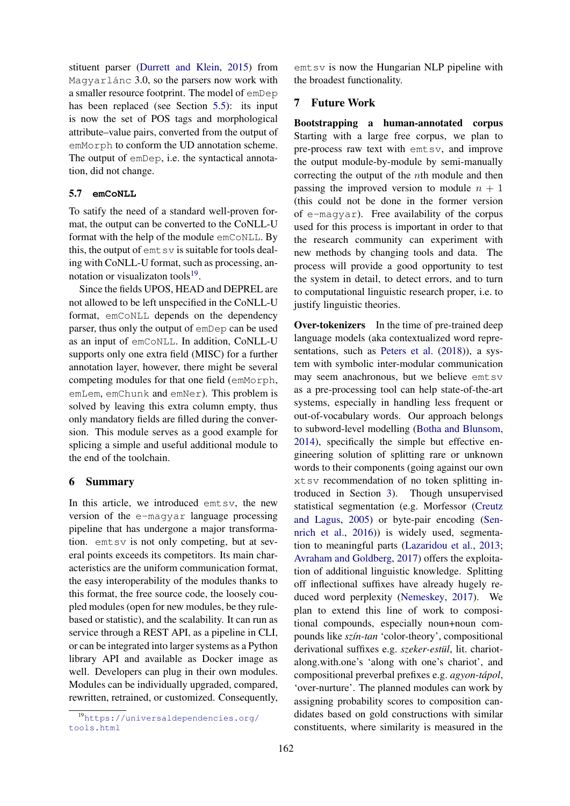stituent parser [\(Durrett and Klein,](#page-8-3) [2015\)](#page-8-3) from Magyarlánc 3.0, so the parsers now work with a smaller resource footprint. The model of emDep has been replaced (see Section [5.5\)](#page-6-5): its input is now the set of POS tags and morphological attribute–value pairs, converted from the output of emMorph to conform the UD annotation scheme. The output of emDep, i.e. the syntactical annotation, did not change.

### 5.7 **emCoNLL**

To satify the need of a standard well-proven format, the output can be converted to the CoNLL-U format with the help of the module emCoNLL. By this, the output of emtsv is suitable for tools dealing with CoNLL-U format, such as processing, an-notation or visualizaton tools<sup>[19](#page-7-2)</sup>.

Since the fields UPOS, HEAD and DEPREL are not allowed to be left unspecified in the CoNLL-U format, emCoNLL depends on the dependency parser, thus only the output of emDep can be used as an input of emCoNLL. In addition, CoNLL-U supports only one extra field (MISC) for a further annotation layer, however, there might be several competing modules for that one field (emMorph, emLem, emChunk and emNer). This problem is solved by leaving this extra column empty, thus only mandatory fields are filled during the conversion. This module serves as a good example for splicing a simple and useful additional module to the end of the toolchain.

### <span id="page-7-0"></span>6 Summary

In this article, we introduced emtsv, the new version of the e-magyar language processing pipeline that has undergone a major transformation. emtsv is not only competing, but at several points exceeds its competitors. Its main characteristics are the uniform communication format, the easy interoperability of the modules thanks to this format, the free source code, the loosely coupled modules (open for new modules, be they rulebased or statistic), and the scalability. It can run as service through a REST API, as a pipeline in CLI, or can be integrated into larger systems as a Python library API and available as Docker image as well. Developers can plug in their own modules. Modules can be individually upgraded, compared, rewritten, retrained, or customized. Consequently,

emtsv is now the Hungarian NLP pipeline with the broadest functionality.

# <span id="page-7-1"></span>7 Future Work

Bootstrapping a human-annotated corpus Starting with a large free corpus, we plan to pre-process raw text with emtsv, and improve the output module-by-module by semi-manually correcting the output of the nth module and then passing the improved version to module  $n + 1$ (this could not be done in the former version of e-magyar). Free availability of the corpus used for this process is important in order to that the research community can experiment with new methods by changing tools and data. The process will provide a good opportunity to test the system in detail, to detect errors, and to turn to computational linguistic research proper, i.e. to justify linguistic theories.

Over-tokenizers In the time of pre-trained deep language models (aka contextualized word representations, such as [Peters et al.](#page-9-13) [\(2018\)](#page-9-13)), a system with symbolic inter-modular communication may seem anachronous, but we believe emtsv as a pre-processing tool can help state-of-the-art systems, especially in handling less frequent or out-of-vocabulary words. Our approach belongs to subword-level modelling [\(Botha and Blunsom,](#page-8-4) [2014\)](#page-8-4), specifically the simple but effective engineering solution of splitting rare or unknown words to their components (going against our own xtsv recommendation of no token splitting introduced in Section [3\)](#page-2-0). Though unsupervised statistical segmentation (e.g. Morfessor [\(Creutz](#page-8-5) [and Lagus,](#page-8-5) [2005\)](#page-8-5) or byte-pair encoding [\(Sen](#page-9-14)[nrich et al.,](#page-9-14) [2016\)](#page-9-14)) is widely used, segmentation to meaningful parts [\(Lazaridou et al.,](#page-9-15) [2013;](#page-9-15) [Avraham and Goldberg,](#page-8-6) [2017\)](#page-8-6) offers the exploitation of additional linguistic knowledge. Splitting off inflectional suffixes have already hugely reduced word perplexity [\(Nemeskey,](#page-9-16) [2017\)](#page-9-16). We plan to extend this line of work to compositional compounds, especially noun+noun compounds like *szín-tan* 'color-theory', compositional derivational suffixes e.g. *szeker-estül*, lit. chariotalong.with.one's 'along with one's chariot', and compositional preverbal prefixes e.g. *agyon*-*tápol*, 'over-nurture'. The planned modules can work by assigning probability scores to composition candidates based on gold constructions with similar constituents, where similarity is measured in the

<span id="page-7-2"></span><sup>19</sup>[https://universaldependencies.org/](https://universaldependencies.org/tools.html) [tools.html](https://universaldependencies.org/tools.html)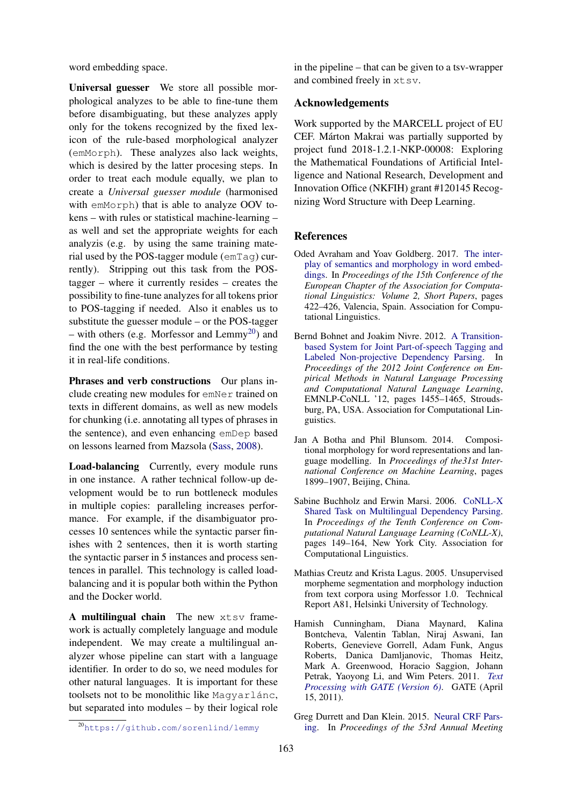word embedding space.

Universal guesser We store all possible morphological analyzes to be able to fine-tune them before disambiguating, but these analyzes apply only for the tokens recognized by the fixed lexicon of the rule-based morphological analyzer (emMorph). These analyzes also lack weights, which is desired by the latter procesing steps. In order to treat each module equally, we plan to create a *Universal guesser module* (harmonised with emMorph) that is able to analyze OOV tokens – with rules or statistical machine-learning – as well and set the appropriate weights for each analyzis (e.g. by using the same training material used by the POS-tagger module (emTag) currently). Stripping out this task from the POStagger – where it currently resides – creates the possibility to fine-tune analyzes for all tokens prior to POS-tagging if needed. Also it enables us to substitute the guesser module – or the POS-tagger – with others (e.g. Morfessor and Lemmy<sup>[20](#page-8-7)</sup>) and find the one with the best performance by testing it in real-life conditions.

Phrases and verb constructions Our plans include creating new modules for emNer trained on texts in different domains, as well as new models for chunking (i.e. annotating all types of phrases in the sentence), and even enhancing emDep based on lessons learned from Mazsola [\(Sass,](#page-9-17) [2008\)](#page-9-17).

Load-balancing Currently, every module runs in one instance. A rather technical follow-up development would be to run bottleneck modules in multiple copies: paralleling increases performance. For example, if the disambiguator processes 10 sentences while the syntactic parser finishes with 2 sentences, then it is worth starting the syntactic parser in 5 instances and process sentences in parallel. This technology is called loadbalancing and it is popular both within the Python and the Docker world.

A multilingual chain The new xtsv framework is actually completely language and module independent. We may create a multilingual analyzer whose pipeline can start with a language identifier. In order to do so, we need modules for other natural languages. It is important for these toolsets not to be monolithic like Magyarlánc, but separated into modules – by their logical role in the pipeline – that can be given to a tsv-wrapper and combined freely in xtsv.

# Acknowledgements

Work supported by the MARCELL project of EU CEF. Márton Makrai was partially supported by project fund 2018-1.2.1-NKP-00008: Exploring the Mathematical Foundations of Artificial Intelligence and National Research, Development and Innovation Office (NKFIH) grant #120145 Recognizing Word Structure with Deep Learning.

### References

- <span id="page-8-6"></span>Oded Avraham and Yoav Goldberg. 2017. [The inter](https://www.aclweb.org/anthology/E17-2067)[play of semantics and morphology in word embed](https://www.aclweb.org/anthology/E17-2067)[dings.](https://www.aclweb.org/anthology/E17-2067) In *Proceedings of the 15th Conference of the European Chapter of the Association for Computational Linguistics: Volume 2, Short Papers*, pages 422–426, Valencia, Spain. Association for Computational Linguistics.
- <span id="page-8-2"></span>Bernd Bohnet and Joakim Nivre. 2012. [A Transition](http://dl.acm.org/citation.cfm?id=2390948.2391114)[based System for Joint Part-of-speech Tagging and](http://dl.acm.org/citation.cfm?id=2390948.2391114) [Labeled Non-projective Dependency Parsing.](http://dl.acm.org/citation.cfm?id=2390948.2391114) In *Proceedings of the 2012 Joint Conference on Empirical Methods in Natural Language Processing and Computational Natural Language Learning*, EMNLP-CoNLL '12, pages 1455–1465, Stroudsburg, PA, USA. Association for Computational Linguistics.
- <span id="page-8-4"></span>Jan A Botha and Phil Blunsom. 2014. Compositional morphology for word representations and language modelling. In *Proceedings of the31st International Conference on Machine Learning*, pages 1899–1907, Beijing, China.
- <span id="page-8-1"></span>Sabine Buchholz and Erwin Marsi. 2006. [CoNLL-X](http://www.aclweb.org/anthology/W/W06/W06-2920) [Shared Task on Multilingual Dependency Parsing.](http://www.aclweb.org/anthology/W/W06/W06-2920) In *Proceedings of the Tenth Conference on Computational Natural Language Learning (CoNLL-X)*, pages 149–164, New York City. Association for Computational Linguistics.
- <span id="page-8-5"></span>Mathias Creutz and Krista Lagus. 2005. Unsupervised morpheme segmentation and morphology induction from text corpora using Morfessor 1.0. Technical Report A81, Helsinki University of Technology.
- <span id="page-8-0"></span>Hamish Cunningham, Diana Maynard, Kalina Bontcheva, Valentin Tablan, Niraj Aswani, Ian Roberts, Genevieve Gorrell, Adam Funk, Angus Roberts, Danica Damljanovic, Thomas Heitz, Mark A. Greenwood, Horacio Saggion, Johann Petrak, Yaoyong Li, and Wim Peters. 2011. *[Text](http://tinyurl.com/gatebook) [Processing with GATE \(Version 6\)](http://tinyurl.com/gatebook)*. GATE (April 15, 2011).
- <span id="page-8-3"></span>Greg Durrett and Dan Klein. 2015. [Neural CRF Pars](https://doi.org/10.3115/v1/P15-1030)[ing.](https://doi.org/10.3115/v1/P15-1030) In *Proceedings of the 53rd Annual Meeting*

<span id="page-8-7"></span><sup>20</sup><https://github.com/sorenlind/lemmy>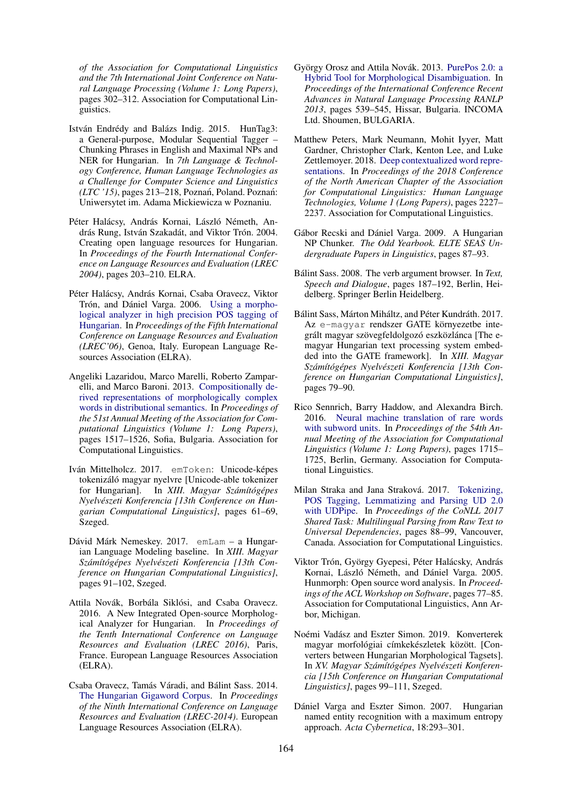*of the Association for Computational Linguistics and the 7th International Joint Conference on Natural Language Processing (Volume 1: Long Papers)*, pages 302–312. Association for Computational Linguistics.

- <span id="page-9-11"></span>István Endrédy and Balázs Indig. 2015. HunTag3: a General-purpose, Modular Sequential Tagger – Chunking Phrases in English and Maximal NPs and NER for Hungarian. In *7th Language & Technology Conference, Human Language Technologies as a Challenge for Computer Science and Linguistics (LTC '15)*, pages 213–218, Poznań, Poland. Poznań: Uniwersytet im. Adama Mickiewicza w Poznaniu.
- <span id="page-9-0"></span>Péter Halácsy, András Kornai, László Németh, András Rung, István Szakadát, and Viktor Trón. 2004. Creating open language resources for Hungarian. In *Proceedings of the Fourth International Conference on Language Resources and Evaluation (LREC 2004)*, pages 203–210. ELRA.
- <span id="page-9-3"></span>Péter Halácsy, András Kornai, Csaba Oravecz, Viktor Trón, and Dániel Varga. 2006. [Using a morpho](http://www.lrec-conf.org/proceedings/lrec2006/pdf/488_pdf.pdf)[logical analyzer in high precision POS tagging of](http://www.lrec-conf.org/proceedings/lrec2006/pdf/488_pdf.pdf) [Hungarian.](http://www.lrec-conf.org/proceedings/lrec2006/pdf/488_pdf.pdf) In *Proceedings of the Fifth International Conference on Language Resources and Evaluation (LREC'06)*, Genoa, Italy. European Language Resources Association (ELRA).
- <span id="page-9-15"></span>Angeliki Lazaridou, Marco Marelli, Roberto Zamparelli, and Marco Baroni. 2013. [Compositionally de](https://www.aclweb.org/anthology/P13-1149)[rived representations of morphologically complex](https://www.aclweb.org/anthology/P13-1149) [words in distributional semantics.](https://www.aclweb.org/anthology/P13-1149) In *Proceedings of the 51st Annual Meeting of the Association for Computational Linguistics (Volume 1: Long Papers)*, pages 1517–1526, Sofia, Bulgaria. Association for Computational Linguistics.
- <span id="page-9-8"></span>Iván Mittelholcz. 2017. emToken: Unicode-képes tokenizáló magyar nyelvre [Unicode-able tokenizer for Hungarian]. In *XIII. Magyar Számítógépes Nyelvészeti Konferencia [13th Conference on Hungarian Computational Linguistics]*, pages 61–69, Szeged.
- <span id="page-9-16"></span>Dávid Márk Nemeskey. 2017. emLam – a Hungarian Language Modeling baseline. In *XIII. Magyar Számítógépes Nyelvészeti Konferencia [13th Conference on Hungarian Computational Linguistics]*, pages 91–102, Szeged.
- <span id="page-9-9"></span>Attila Novák, Borbála Siklósi, and Csaba Oravecz. 2016. A New Integrated Open-source Morphological Analyzer for Hungarian. In *Proceedings of the Tenth International Conference on Language Resources and Evaluation (LREC 2016)*, Paris, France. European Language Resources Association (ELRA).
- <span id="page-9-1"></span>Csaba Oravecz, Tamás Váradi, and Bálint Sass. 2014. [The Hungarian Gigaword Corpus.](http://www.aclweb.org/anthology/L14-1536) In *Proceedings of the Ninth International Conference on Language Resources and Evaluation (LREC-2014)*. European Language Resources Association (ELRA).
- <span id="page-9-10"></span>György Orosz and Attila Novák. 2013. [PurePos 2.0: a](http://www.aclweb.org/anthology/R13-1071) [Hybrid Tool for Morphological Disambiguation.](http://www.aclweb.org/anthology/R13-1071) In *Proceedings of the International Conference Recent Advances in Natural Language Processing RANLP 2013*, pages 539–545, Hissar, Bulgaria. INCOMA Ltd. Shoumen, BULGARIA.
- <span id="page-9-13"></span>Matthew Peters, Mark Neumann, Mohit Iyyer, Matt Gardner, Christopher Clark, Kenton Lee, and Luke Zettlemoyer. 2018. [Deep contextualized word repre](https://doi.org/10.18653/v1/N18-1202)[sentations.](https://doi.org/10.18653/v1/N18-1202) In *Proceedings of the 2018 Conference of the North American Chapter of the Association for Computational Linguistics: Human Language Technologies, Volume 1 (Long Papers)*, pages 2227– 2237. Association for Computational Linguistics.
- <span id="page-9-5"></span>Gábor Recski and Dániel Varga. 2009. A Hungarian NP Chunker. *The Odd Yearbook. ELTE SEAS Undergraduate Papers in Linguistics*, pages 87–93.
- <span id="page-9-17"></span>Bálint Sass. 2008. The verb argument browser. In *Text, Speech and Dialogue*, pages 187–192, Berlin, Heidelberg. Springer Berlin Heidelberg.
- <span id="page-9-7"></span>Bálint Sass, Márton Miháltz, and Péter Kundráth. 2017. Az e-magyar rendszer GATE környezetbe integrált magyar szövegfeldolgozó eszközlánca [The emagyar Hungarian text processing system embedded into the GATE framework]. In *XIII. Magyar Számítógépes Nyelvészeti Konferencia [13th Conference on Hungarian Computational Linguistics]*, pages 79–90.
- <span id="page-9-14"></span>Rico Sennrich, Barry Haddow, and Alexandra Birch. 2016. [Neural machine translation of rare words](https://doi.org/10.18653/v1/P16-1162) [with subword units.](https://doi.org/10.18653/v1/P16-1162) In *Proceedings of the 54th Annual Meeting of the Association for Computational Linguistics (Volume 1: Long Papers)*, pages 1715– 1725, Berlin, Germany. Association for Computational Linguistics.
- <span id="page-9-6"></span>Milan Straka and Jana Straková. 2017. [Tokenizing,](http://www.aclweb.org/anthology/K/K17/K17-3009.pdf) [POS Tagging, Lemmatizing and Parsing UD 2.0](http://www.aclweb.org/anthology/K/K17/K17-3009.pdf) [with UDPipe.](http://www.aclweb.org/anthology/K/K17/K17-3009.pdf) In *Proceedings of the CoNLL 2017 Shared Task: Multilingual Parsing from Raw Text to Universal Dependencies*, pages 88–99, Vancouver, Canada. Association for Computational Linguistics.
- <span id="page-9-2"></span>Viktor Trón, György Gyepesi, Péter Halácsky, András Kornai, László Németh, and Dániel Varga. 2005. Hunmorph: Open source word analysis. In *Proceedings of the ACL Workshop on Software*, pages 77–85. Association for Computational Linguistics, Ann Arbor, Michigan.
- <span id="page-9-12"></span>Noémi Vadász and Eszter Simon. 2019. Konverterek magyar morfológiai címkekészletek között. [Converters between Hungarian Morphological Tagsets]. In *XV. Magyar Számítógépes Nyelvészeti Konferencia [15th Conference on Hungarian Computational Linguistics]*, pages 99–111, Szeged.
- <span id="page-9-4"></span>Dániel Varga and Eszter Simon. 2007. Hungarian named entity recognition with a maximum entropy approach. *Acta Cybernetica*, 18:293–301.